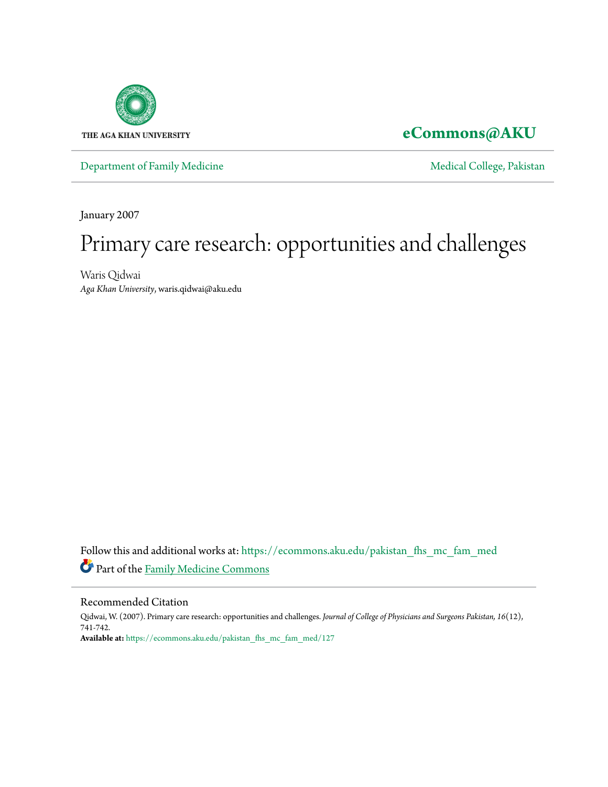

## **[eCommons@AKU](https://ecommons.aku.edu?utm_source=ecommons.aku.edu%2Fpakistan_fhs_mc_fam_med%2F127&utm_medium=PDF&utm_campaign=PDFCoverPages)**

[Department of Family Medicine](https://ecommons.aku.edu/pakistan_fhs_mc_fam_med?utm_source=ecommons.aku.edu%2Fpakistan_fhs_mc_fam_med%2F127&utm_medium=PDF&utm_campaign=PDFCoverPages) and [Medical College, Pakistan](https://ecommons.aku.edu/pakistan_fhs_mc?utm_source=ecommons.aku.edu%2Fpakistan_fhs_mc_fam_med%2F127&utm_medium=PDF&utm_campaign=PDFCoverPages)

January 2007

# Primary care research: opportunities and challenges

Waris Qidwai *Aga Khan University*, waris.qidwai@aku.edu

Follow this and additional works at: [https://ecommons.aku.edu/pakistan\\_fhs\\_mc\\_fam\\_med](https://ecommons.aku.edu/pakistan_fhs_mc_fam_med?utm_source=ecommons.aku.edu%2Fpakistan_fhs_mc_fam_med%2F127&utm_medium=PDF&utm_campaign=PDFCoverPages) Part of the [Family Medicine Commons](http://network.bepress.com/hgg/discipline/1354?utm_source=ecommons.aku.edu%2Fpakistan_fhs_mc_fam_med%2F127&utm_medium=PDF&utm_campaign=PDFCoverPages)

#### Recommended Citation

Qidwai, W. (2007). Primary care research: opportunities and challenges. *Journal of College of Physicians and Surgeons Pakistan, 16*(12), 741-742. **Available at:** [https://ecommons.aku.edu/pakistan\\_fhs\\_mc\\_fam\\_med/127](https://ecommons.aku.edu/pakistan_fhs_mc_fam_med/127)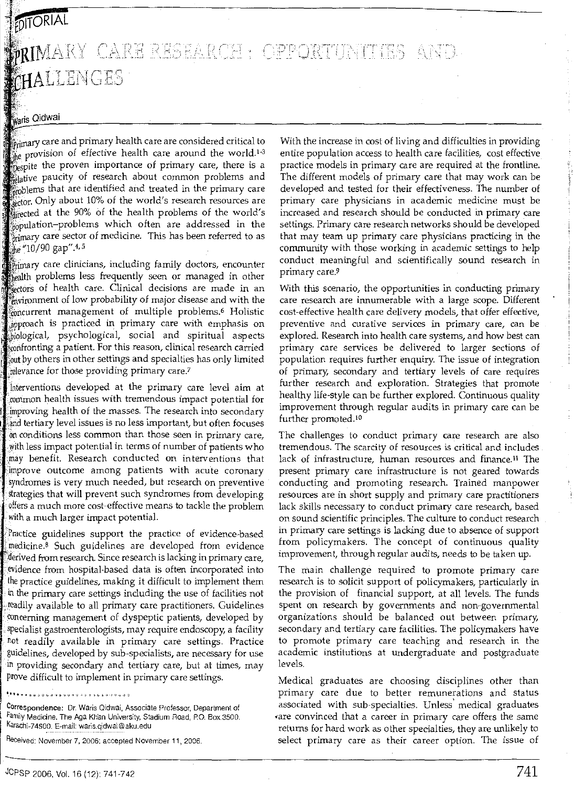#### **POITORIAL**  $\mathbb{Q} \mathbb{Z} \land \mathbb{R} \cap \mathbb{Z}$  ,  $\land \mathbb{P} \mathbb{P} \cap \mathbb{Z}$  $\mathcal{L} \sim \infty$ ) ~J *CHALLENGES*

### **Waris** Qidwai

**Primary care and primary health care are considered critical to**  $\frac{m}{4}$  provision of effective health care around the world.<sup>1-3</sup> pespite the proven importance of primary care, there is a pative paucity of research about common problems and <sub>moble</sub>ms that are identified and treated in the primary care ector. Only about 10% of the world's research resources are at the 90% of the health problems of the world's sopulation-problems which often are addressed in the  $\frac{1}{2}$  care sector of medicine. This has been referred to as the "10/90 gap" 4.5

p<sub>rimary</sub> care clinicians, including family doctors, encounter health problems less frequently seen or managed in other sectors of health care. Clinical decisions are made in an lflviror1ment of low probability of major disease and with the monurrent management of multiple problems.<sup>6</sup> Holistic approach is practiced in primary care with emphasis on biological, psychological, social and spiritual aspects confronting a patient. For this reason, clinical research carried by others in other settings and specialties has only limited relevance for those providing primary care.<sup>7</sup>

laterventions developed at the primary care level aim at common health issues with tremendous impact potential for improving health of the masses. The research into secondary and tertiary level issues is no less important, but often focuses on conditions less common than those seen in primary care, with less impact potential in terms of number of patients who benefit. Research conducted on interventions that improve outcome among patients with acute coronary syndromes is very much needed, but research on preventive strategies that will prevent such syndromes from developing offers a much more cost-effective means to tackle the problem with a much larger impact potential.

Practice guidelines support the practice of evidence-based medicine.8 Such guidelines are developed from evidence ferived from research. Since research is lacking in primary care, evidence from hospital-based data is often incorporated into the practice guidelines, making it difficult to implement them in the primary care settings including the use of facilities not . readily available to all primary care practitioners. Guidelines ·concerning management of dyspeptic patients, developed by specialist gastroenterologists, may require endoscopy, a facility not readily available in primary care settings. Practice guidelines, developed by sub-specialists, are necessary for use in providing secondary and tertiary care, but at times, may prove difficult to implement in primary care settings.

•••••• ' " -' 0 ~ ,, • <) , 0 • , ' , , , ~ > ~ ., ~ " ~ ' Correspondence: Dr. Waris Qidwai, Associate Professor, Department of Family Medicine. The Aga Khan University, Stadium Road, P.O. Box.3500. Karachi-74SOO. E-mail: waris.qidwai@aku.edu

Received: November 7, 2006; accepted November 11, 2006.

With the increase in cost of living and difficulties in providing entire population access to health care facilities, cost effective practice models in primary care are required at the frontline. The different models of primary care that may work can be developed and tested for their effectiveness. The number of primary care physicians in academic medicine must be increased and research should be conducted in primary care settings. Primary care research networks should be developed that may team up primary care physicians practicing in the community with those working in academic settings to help conduct meaningful and scientifically sound research in primary care.9

With this scenario, the opportunities in conducting primary care research are innumerable with a large scope. Different cost-effective health care delivery models, that offer effective, preventive and curative services in primary care, can be explored. Research into health care systems, and how best can primary care services be delivered to larger sections of population requires further enquiry. The issue of integration of primary, secondary and tertiary levels of care requires further research and exploration. Strategies that promote healthy life-style can be further explored. Continuous quality improvement through regular audits in primary care can be further promoted.<sup>10</sup>

The challenges to conduct primary care research are also tremendous. The scarcity of resources is critical and includes lack of infrastructure, human resources and finance.<sup>11</sup> The present primary care infrastructure is not geared towards conducting and promoting research. Trained manpower resources are in short supply and primary care practitioners lack skills necessary to conduct primary care research, based on sound scientific principles. The culture to conduct research in primary care settings is lacking due to absence of support from policymakers. The concept of continuous quality improvement, through regular audits, needs to be taken up.

The main challenge required to promote primary care research is to solicit support of policymakers, particularly in the provision of financial support, at all levels. The funds spent on research by governments and non-goverrunental organizations should be balanced out between primary, secondary and tertiary care facilities. The policymakers have to promote primary care teaching and research in the academic institutions at undergraduate and postgraduate levels.

Medical graduates are choosing disciplines other than primary care due to better remunerations and status associated with sub-specialties. Unless' medical graduates •are convinced that a career in primary care offers the same returns for hard work as other specialties, they are unlikely to select primary care as their career option. The issue of